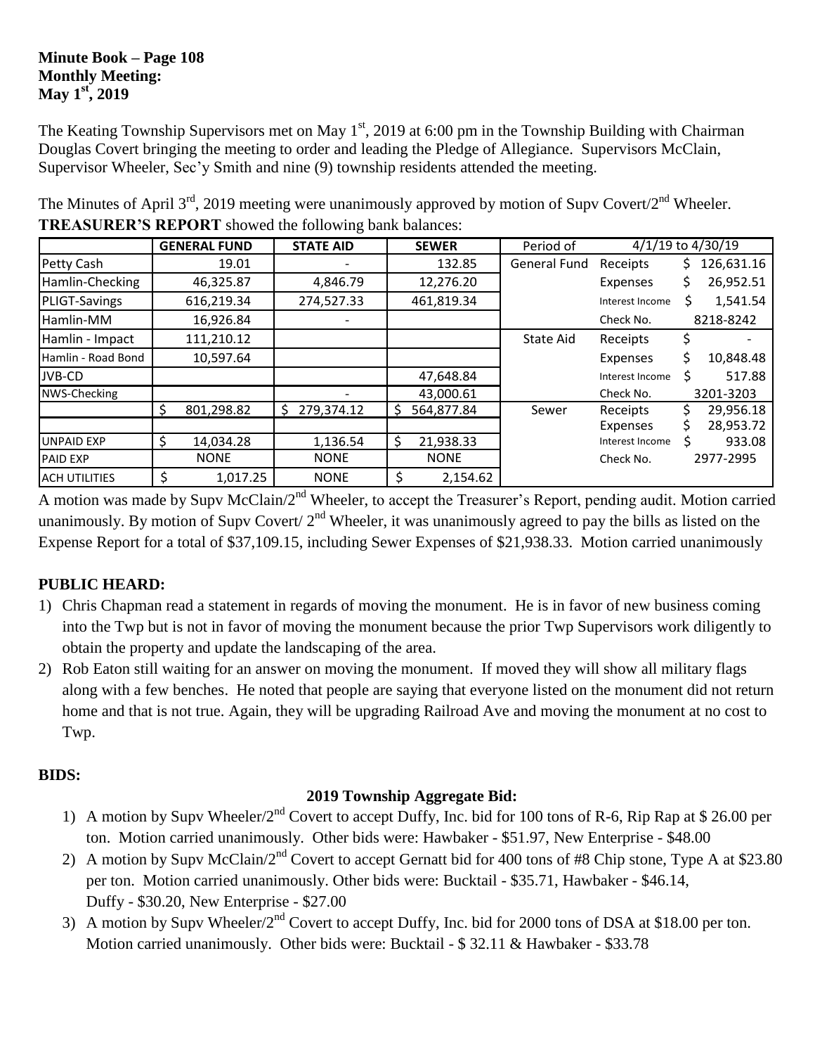#### **Minute Book – Page 108 Monthly Meeting: May 1st, 2019**

The Keating Township Supervisors met on May  $1<sup>st</sup>$ , 2019 at 6:00 pm in the Township Building with Chairman Douglas Covert bringing the meeting to order and leading the Pledge of Allegiance. Supervisors McClain, Supervisor Wheeler, Sec'y Smith and nine (9) township residents attended the meeting.

|                      |    | <b>GENERAL FUND</b> | <b>STATE AID</b> |    | <b>SEWER</b> | Period of           | 4/1/19 to 4/30/19 |    |            |
|----------------------|----|---------------------|------------------|----|--------------|---------------------|-------------------|----|------------|
| Petty Cash           |    | 19.01               |                  |    | 132.85       | <b>General Fund</b> | Receipts          | S. | 126,631.16 |
| Hamlin-Checking      |    | 46,325.87           | 4,846.79         |    | 12,276.20    |                     | Expenses          |    | 26,952.51  |
| <b>PLIGT-Savings</b> |    | 616,219.34          | 274,527.33       |    | 461,819.34   |                     | Interest Income   |    | 1,541.54   |
| Hamlin-MM            |    | 16,926.84           |                  |    |              |                     | Check No.         |    | 8218-8242  |
| Hamlin - Impact      |    | 111,210.12          |                  |    |              | State Aid           | Receipts          |    |            |
| Hamlin - Road Bond   |    | 10,597.64           |                  |    |              |                     | Expenses          |    | 10,848.48  |
| JVB-CD               |    |                     |                  |    | 47,648.84    |                     | Interest Income   |    | 517.88     |
| NWS-Checking         |    |                     |                  |    | 43,000.61    |                     | Check No.         |    | 3201-3203  |
|                      | S  | 801,298.82          | 279,374.12<br>S  | Ş  | 564,877.84   | Sewer               | Receipts          |    | 29,956.18  |
|                      |    |                     |                  |    |              |                     | Expenses          |    | 28,953.72  |
| <b>UNPAID EXP</b>    |    | 14,034.28           | 1,136.54         | \$ | 21,938.33    |                     | Interest Income   |    | 933.08     |
| <b>PAID EXP</b>      |    | <b>NONE</b>         | <b>NONE</b>      |    | <b>NONE</b>  |                     | Check No.         |    | 2977-2995  |
| <b>ACH UTILITIES</b> | \$ | 1,017.25            | <b>NONE</b>      | \$ | 2,154.62     |                     |                   |    |            |

The Minutes of April  $3<sup>rd</sup>$ , 2019 meeting were unanimously approved by motion of Supv Covert/2<sup>nd</sup> Wheeler. **TREASURER'S REPORT** showed the following bank balances:

A motion was made by Supv McClain/2<sup>nd</sup> Wheeler, to accept the Treasurer's Report, pending audit. Motion carried unanimously. By motion of Supv Covert/  $2<sup>nd</sup>$  Wheeler, it was unanimously agreed to pay the bills as listed on the Expense Report for a total of \$37,109.15, including Sewer Expenses of \$21,938.33. Motion carried unanimously

# **PUBLIC HEARD:**

- 1) Chris Chapman read a statement in regards of moving the monument. He is in favor of new business coming into the Twp but is not in favor of moving the monument because the prior Twp Supervisors work diligently to obtain the property and update the landscaping of the area.
- 2) Rob Eaton still waiting for an answer on moving the monument. If moved they will show all military flags along with a few benches. He noted that people are saying that everyone listed on the monument did not return home and that is not true. Again, they will be upgrading Railroad Ave and moving the monument at no cost to Twp.

# **BIDS:**

# **2019 Township Aggregate Bid:**

- 1) A motion by Supv Wheeler/2<sup>nd</sup> Covert to accept Duffy, Inc. bid for 100 tons of R-6, Rip Rap at \$ 26.00 per ton. Motion carried unanimously. Other bids were: Hawbaker - \$51.97, New Enterprise - \$48.00
- 2) A motion by Supy McClain/2<sup>nd</sup> Covert to accept Gernatt bid for 400 tons of #8 Chip stone, Type A at \$23.80 per ton. Motion carried unanimously. Other bids were: Bucktail - \$35.71, Hawbaker - \$46.14, Duffy - \$30.20, New Enterprise - \$27.00
- 3) A motion by Supv Wheeler/2<sup>nd</sup> Covert to accept Duffy, Inc. bid for 2000 tons of DSA at \$18.00 per ton. Motion carried unanimously. Other bids were: Bucktail - \$ 32.11 & Hawbaker - \$33.78